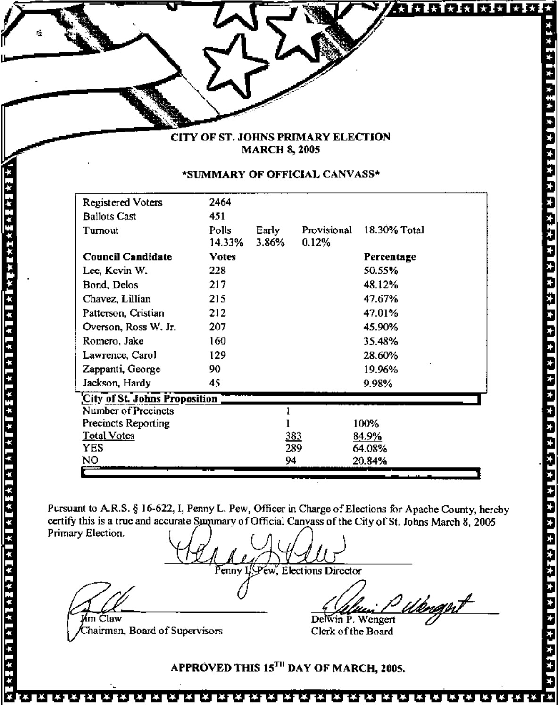#### CITY OF ST. JOHNS PRIMARY ELECTION MARCH S. 2005

38800500

#### \*SUMMARY OF OFFICIAL CANVASS\*

| Registered Voters             | 2464   |       |             |              |
|-------------------------------|--------|-------|-------------|--------------|
| <b>Ballots Cast</b>           | 451    |       |             |              |
| Turnout                       | Polls  | Early | Provisional | 18.30% Total |
|                               | 14.33% | 3.86% | 0.12%       |              |
| <b>Council Candidate</b>      | Votes  |       |             | Percentage   |
| Lee, Kevin W.                 | 228    |       |             | 50.55%       |
| Bond, Delos                   | 217    |       |             | 48.12%       |
| Chavez, Lillian               | 215    |       |             | 47.67%       |
| Patterson, Cristian           | 212    |       |             | 47.01%       |
| Overson, Ross W. Jr.          | 207    |       |             | 45.90%       |
| Romero, Jake                  | 160    |       |             | 35.48%       |
| Lawrence, Carol               | 129    |       |             | 28.60%       |
| Zappanti, George              | 90     |       |             | 19.96%       |
| Jackson, Hardy                | 45     |       |             | 9.98%        |
| City of St. Johns Proposition |        |       |             |              |
| Number of Precincts           |        |       |             |              |
| Precincts Reporting           |        |       |             | 100%         |
| <b>Total Votes</b>            |        |       | <u>383</u>  | 84.9%        |
| <b>YES</b>                    |        |       | 289         | 64.08%       |
| NO                            |        | 94    |             | 20.84%       |
|                               |        |       |             |              |

Pursuant to A.R.S. § 16-622, I, Penny L. Pew, Officer in Charge of Elections for Apache County, hereby certify this is a true and accurate Summary of Official Canvass of the City of St. Johns March 8, 2005 Primary Election.

Penny I/Pew, Elections Director

m Claw

<u> 1983 - Palman Malmadha (Kilah Palman Malmadha Palman Malmadha Palman Malmadha</u>

Π

Chairman, Board of Supervisors

The Director<br>Delwin P. Wengert<br>Clerk of the Board Clerk of tbe Board

APPROVED THIS 15TH DAY OF MARCH, 2005.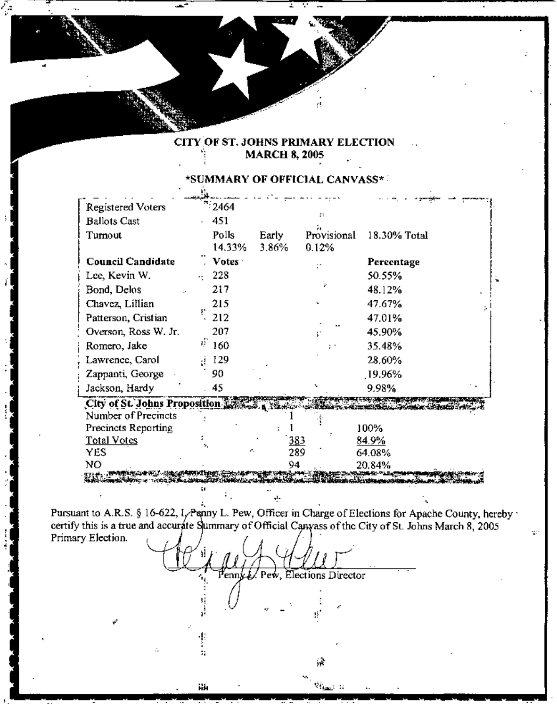#### CITY OF ST. JOHNS PRIMARY ELECTION **MARCH 8, 2005**

#### \*SUMMARY OF OFFICIAL CANVASS\* ŵ.

| Registered Voters                 | 2464    |       |             |              |
|-----------------------------------|---------|-------|-------------|--------------|
| <b>Ballots Cast</b>               | 451     |       |             |              |
| Turnout                           | Polls   | Early | Provisional | 18.30% Total |
|                                   | 14.33%  | 3.86% | 0.12%       |              |
| <b>Council Candidate</b>          | Votes · |       |             | Percentage   |
| Lee, Kevin W.                     | 228     |       |             | 50.55%       |
| Bond, Delos                       | 217     |       |             | 48.12%       |
| Chavez, Lillian                   | 215     |       |             | 47.67%       |
| Patterson, Cristian               | 212     |       |             | 47.01%       |
| Overson, Ross W. Jr.              | 207     |       |             | 45.90%       |
| Romero, Jake                      | 160     |       |             | 35.48%       |
| Lawrence, Carol                   | 129     |       |             | 28.60%       |
| Zappanti, George                  | 90      |       |             | .19.96%      |
| Jackson, Hardy                    | 45      |       |             | 9.98%        |
| City of St. Johns Proposition 22% |         |       |             |              |
| Number of Precincts               |         |       |             |              |
| Precincts Reporting               |         |       |             | 100%         |
| <b>Total Votes</b>                |         |       | 383         | 84.9%        |
| <b>YES</b>                        |         |       | 289         | 64.08%       |
| NO                                |         |       |             | 20.84%       |
|                                   |         |       |             |              |

Pursuant to A.R.S. § 16-622, L, Penny L. Pew, Officer in Charge of Elections for Apache County, hereby certify this is a true and accurate Summary of Official Canyass of the City of St. Johns March 8, 2005 Primary Election.

ç.

à,

й'n

Pew, Elections Director Fenn:

52

رو <sub>گوهه</sub> ته

ш,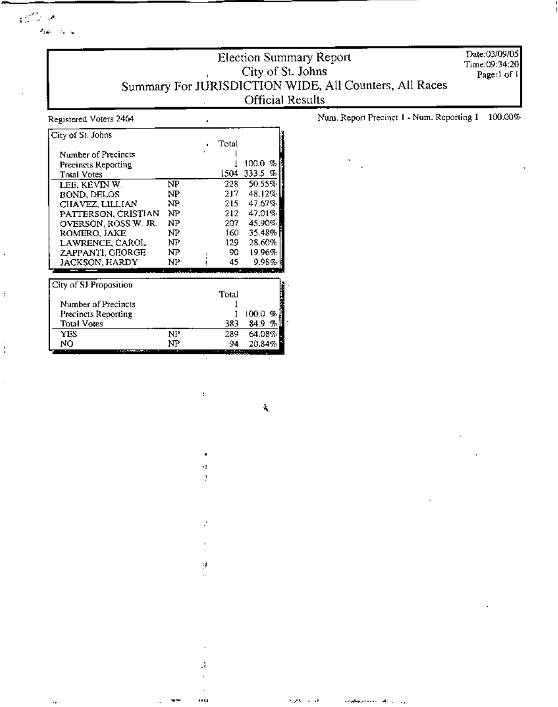### Election Summary Report City of St. Johns Summary For JURISDICTION WIDE, All Counters, All Races Official Results

Registered Voters 2464

Precincts Reporting

**Total Votes** 

**YES** 

NO<sub></sub>

 $\ddot{\phantom{a}}$ 

 $\mathcal{C}^{\mathcal{C}}$  is a

ţ

Ì

 $\sigma_{\rm 200}$  ,  $\sigma_{\rm 200}$ 

| City of St. Johns      |     |       |             |
|------------------------|-----|-------|-------------|
|                        |     | Total |             |
| Number of Precincts    |     |       |             |
| Precincts Reporting    |     |       | 100.0<br>Ø, |
| <b>Total Votes</b>     |     | 1504  | 333.5<br>Fь |
| LEE, KEVINW.           | NP  | 228   | 50.55%      |
| BOND, DELOS            | NP  | 217   | 48.12%      |
| CHAVEZ, LILLIAN        | NP. | 215.  | 47.67%      |
| PATTERSON, CRISTIAN    | NP  | 212   | 47.01%      |
| OVERSON, ROSS W. JR.   | NP  | 207   | 45.90%      |
| ROMERO, JAKE           | NP  | 160   | 35.48%      |
| LAWRENCE, CAROL        | NP  | 129.  | 28.60%      |
| ZAPPANTI, GEORGE       | NP  | 90.   | 19.96%      |
| JACKSON, HARDY         | NP  | 45    | 9.98%       |
|                        |     |       |             |
| City of SJ Proposition |     |       |             |
| Number of Precincts    |     | Total |             |

 $\overline{\text{NP}}$ 

 $NP$ 

¢

٠Į Ţ

ÿ.  $\ddot{\phantom{a}}$ 

J,

ωú

ä,

Num. Report Precinct 1 - Num. Reporting 1 100.00%

Date:03/09/05

Time:09:34:20

Page:1 of I

Ă,

complete process and capture

 $\sim$   $\sim$ 

383

289

94

1 100.0 %

84.9%

64.08%

20.84%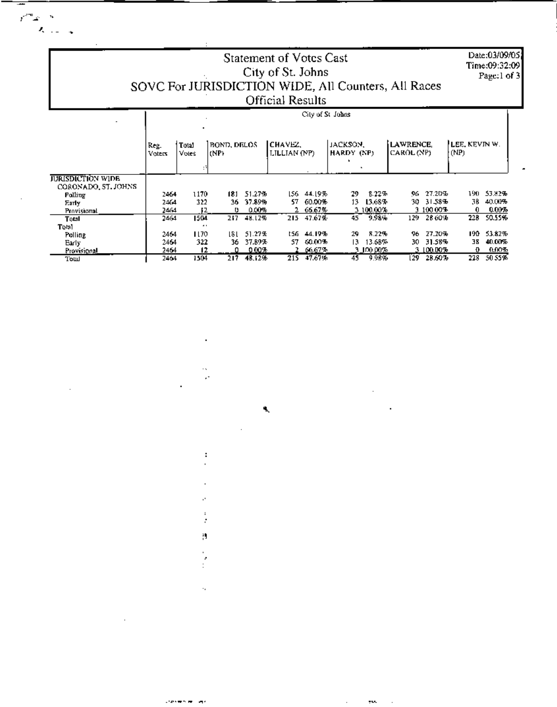## Statement of Votes Cast City of St. Johns SOVC For JURISDICTION WIDE, All Counters, All Races Official Results

Date:03/09/05 Time:09:32:09<br>Page:1 of 3

القاسم

 $\mathbf{u}$  $\mathbf{z}_{\text{max}}$ 

 $\sim$ 

|                          |                | City of St Johns |                            |            |                           |            |                        |            |                         |           |                          |        |  |
|--------------------------|----------------|------------------|----------------------------|------------|---------------------------|------------|------------------------|------------|-------------------------|-----------|--------------------------|--------|--|
|                          | Reg.<br>Voters | Total<br>Votes   | <b>BOND, DELOS</b><br>(NP) |            | ICHAVEZ.<br>LILLIAN (NP). |            | JACKSON,<br>HARDY (NP) |            | LAWRENCE.<br>CAROL (NP) |           | LLEE. KEVIN W.<br>  (NP) |        |  |
| <b>JURISDICTION WIDE</b> |                |                  |                            |            |                           |            |                        |            |                         |           |                          |        |  |
| CORONADO, ST. JOHNS      |                |                  |                            |            |                           |            |                        |            |                         |           |                          |        |  |
| Polling                  | 2464           | 1170             | 181                        | 51.27%     | LSG.                      | 44.19%     | 29.                    | 8.22%      | 96.                     | 27.20%    | 190 -                    | 53.82% |  |
| Early                    | 2464           | 322              | 36.                        | 37.89%     | 57.                       | 60.00%     | 13                     | 13.68%     | 30.                     | 31.58%    | 38.                      | 40.00% |  |
| <b>Provisional</b>       | 2464           | 12               | u                          | 0.00%      | 2.                        | 66.67%     |                        | 3 100.00%  |                         | 3 100 00% | 0.                       | 0.00%  |  |
| Total                    | 2464           | 1504             | 217.                       | 48.12%     |                           | 215 47.67% | 45                     | 9.98%      | 129.                    | 28.60%    | 22B I                    | 50.55% |  |
| Total                    |                | $\cdot$          |                            |            |                           |            |                        |            |                         |           |                          |        |  |
| Polling                  | 2464           | 1170             | 18 L                       | 51.27%     | เรด                       | 44.19%     | 29.                    | 8.22%      | 96.                     | 27.20%    | 190.                     | 53.82% |  |
| Early                    | 2464           | 322              | 36.                        | 37.89%     | 57.                       | 60.00%     | 13                     | 13.68%     | 30.                     | 31.58%    | 38                       | 40.00% |  |
| Provisional              | 2464           | 12               | 0                          | 0.00%      |                           | 66.67%     |                        | 3 JO0 00%. |                         | 3 100.00% | Ð                        | 0.00%  |  |
| Total                    | 2464           | 1504             |                            | 217 48.12% |                           | 215 47.67% | 45                     | 9.98%      | l 29                    | 28.60%    | 228                      | 50 55% |  |

٩

**Convertised Service** 

'n,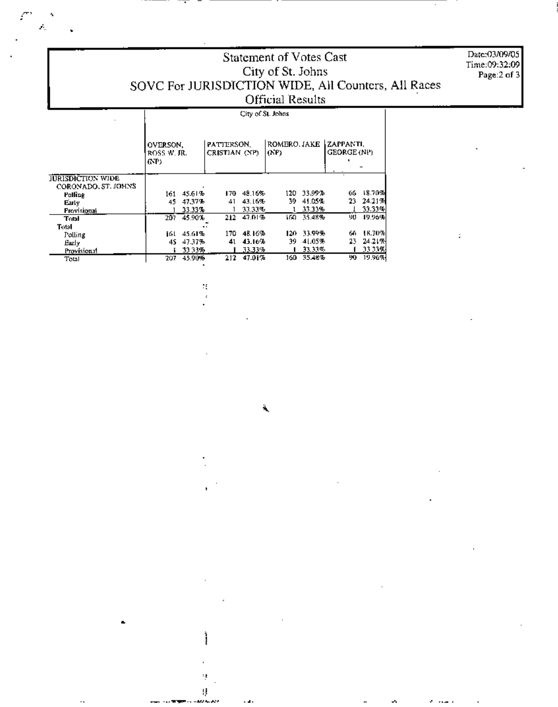## Statement of Votes Cast SECTION WIDE, All Counters, All Races<br>SOVC For JURISDICTION WIDE, All Counters, All Races **Official Results**

Date:03/09/05 Time:09:32:09 Page:2 of 3

Ì.

City of St. Johns

|                          | OVERSON.<br>ross w. Jr.<br>(NP) |        | PATTERSON.<br>CRISTIAN (NP) |        | (NP) |            | ROMERO. JAKE   ZAPPANTI.<br>GEORGE (NP) |        |
|--------------------------|---------------------------------|--------|-----------------------------|--------|------|------------|-----------------------------------------|--------|
| <b>JURISDICTION WIDE</b> |                                 |        |                             |        |      |            |                                         |        |
| CORONADO, ST. JOHNS      |                                 |        |                             |        |      |            |                                         |        |
| Polline                  | 161                             | 45.61% | 170.                        | 48.16% | 120. | -33.99%    | 66                                      | 18.70% |
| Early                    | 45                              | 47.37% | 41                          | 43.16% | 39.  | 41.05%     | 23.                                     | 24.21% |
| Provisional              |                                 | 33.33% |                             | 33.33% |      | -33.33%    |                                         | 33.33% |
| Total                    | 207.                            | 45.90% | 212                         | 47.01% |      | ዘበ0 35.48% | 90                                      | 19.96% |
| Total                    |                                 |        | . .                         |        |      |            |                                         |        |
| Polling                  | i6t.                            | 45.61% | 170                         | 48.16% | 120- | 33.99%     | 66                                      | 18.70% |
| Early                    | 45.                             | 47.37% | 41                          | 43.16% | 39.  | 41.05%     | 23                                      | 24.21% |
| Provisional              |                                 | 33.33% |                             | 33.33% |      | 33.33%     |                                         | 333396 |
| Total                    | 207                             | 45.90% | 212                         | 47.01% | 16D. | 35.48%     | 90                                      | 19.96% |

 $\mathcal{C}_{\mathbf{r}}$ 

Ì

ų  $\left\vert \right\vert$ ويستدرد

 $\mathcal{L}^{\dagger}$ 

Á.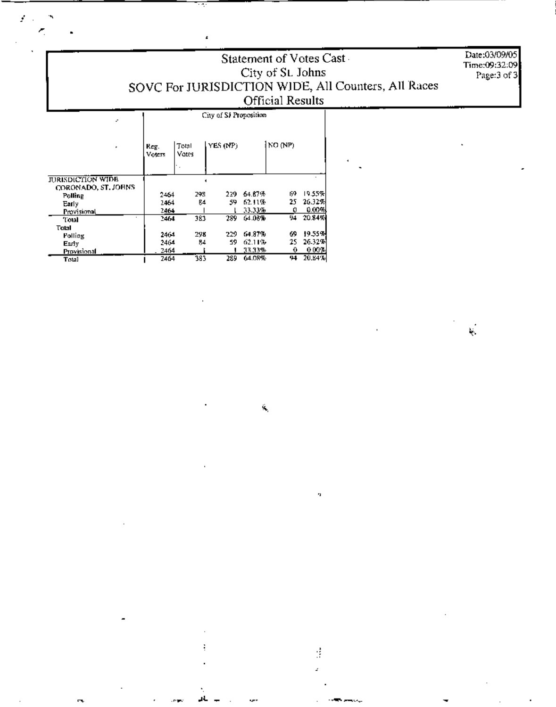# Statement of Votes Cast Statement of Vetes Cust.<br>City of St. Johns<br>SOVC For JURISDICTION WIDE, All Counters, All Races<br>Official Results

Date:03/09/05 Time:09:32:09 Page:3 of 3

 $\vec{q}$ 

| ÷                                               | City of SJ Proposition |                |          |        |          |          |  |  |  |  |  |
|-------------------------------------------------|------------------------|----------------|----------|--------|----------|----------|--|--|--|--|--|
| ٠                                               | Kcg.<br>Voters         | Total<br>Votes | YES (NP) |        | NO (NP). |          |  |  |  |  |  |
| <b>JURISDICTION WIDE</b><br>CORONADO, ST. JOHNS |                        |                |          |        |          |          |  |  |  |  |  |
| Polling                                         | 2464                   | 298            | 229.     | 64.87% | 69       | 19.55%   |  |  |  |  |  |
| Early                                           | 2464                   | 84             | 59       | 62.11% | 25       | 26.32%   |  |  |  |  |  |
| Provisional                                     | 2464                   |                |          | 33.33% | o        | 0.00%    |  |  |  |  |  |
| Total                                           | 2464                   | 383            | 289      | 64.06% | 94       | 20.84%   |  |  |  |  |  |
| Total                                           |                        |                |          |        |          |          |  |  |  |  |  |
| Polling                                         | 2464                   | 298            | 229      | 64.87% | 69       | 19.55%   |  |  |  |  |  |
| Early                                           | 2464                   | 84             | 59       | 62.11% | 25       | 26.32%   |  |  |  |  |  |
| Provisional                                     | 2464                   |                |          | 33.33% | 0        | $0.00\%$ |  |  |  |  |  |
| Total                                           | 2464                   | 383            | 289      | 64.08% | 94       | 20.84%   |  |  |  |  |  |

y

 $\mathbf{X}_\mathrm{c}$ 

ł,

 $\frac{3}{2}$ l,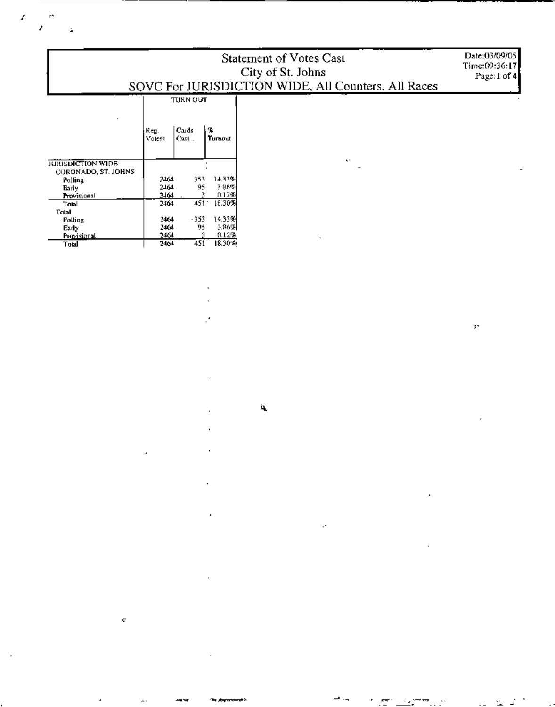|                                          | <b>Statement of Votes Cast</b><br>City of St. Johns<br>SOVC For JURISDICTION WIDE, All Counters, All Races<br><b>TURN OUT</b><br>Cards<br>l %.<br>Reg.<br>Turnout<br>Cast<br>Voters<br>×,<br>14.33%<br>353<br>2464<br>Polling<br>3.86%<br>2464<br>95<br>Early<br>0.12%<br>2464<br>Provisional<br>451.<br>18.30%<br>2464<br>Total<br>Tatal<br>14.33%<br>$-353$<br>2464<br>Polling<br>3.86%<br>95<br>2464 |     |        |   |  |  |  |  |
|------------------------------------------|---------------------------------------------------------------------------------------------------------------------------------------------------------------------------------------------------------------------------------------------------------------------------------------------------------------------------------------------------------------------------------------------------------|-----|--------|---|--|--|--|--|
|                                          |                                                                                                                                                                                                                                                                                                                                                                                                         |     |        |   |  |  |  |  |
|                                          |                                                                                                                                                                                                                                                                                                                                                                                                         |     |        |   |  |  |  |  |
| JURISDICTION WIDE<br>CORONADO, ST. JOHNS |                                                                                                                                                                                                                                                                                                                                                                                                         |     |        |   |  |  |  |  |
|                                          |                                                                                                                                                                                                                                                                                                                                                                                                         |     |        |   |  |  |  |  |
|                                          |                                                                                                                                                                                                                                                                                                                                                                                                         |     |        |   |  |  |  |  |
|                                          |                                                                                                                                                                                                                                                                                                                                                                                                         |     |        |   |  |  |  |  |
|                                          |                                                                                                                                                                                                                                                                                                                                                                                                         |     |        |   |  |  |  |  |
|                                          |                                                                                                                                                                                                                                                                                                                                                                                                         |     |        |   |  |  |  |  |
|                                          |                                                                                                                                                                                                                                                                                                                                                                                                         |     |        |   |  |  |  |  |
| Early                                    | 2464                                                                                                                                                                                                                                                                                                                                                                                                    |     | 0.12%  |   |  |  |  |  |
| <b>Provisional</b><br>Total              | 2464                                                                                                                                                                                                                                                                                                                                                                                                    | 451 | 18.30% | ٠ |  |  |  |  |

 $\bar{\phantom{a}}$ 

 $\mathcal{C}$ 

.

l,

 $\overline{a}$ 

 $\overline{a}$ 

 $\mathbf{r}$ 

 $\overline{a}$ 

 $\sigma$ 

 $\mathbf{A}$  :

J.

 $\mathcal{A}$ 

 $\cdot$ 

 $\mathbb{Z}^n$  .

 $\pm$ 

 $\bar{p}^2$ 

l,

 $\frac{1}{2} \sum_{i=1}^{n} \frac{1}{2}$ 

 $\boldsymbol{r}$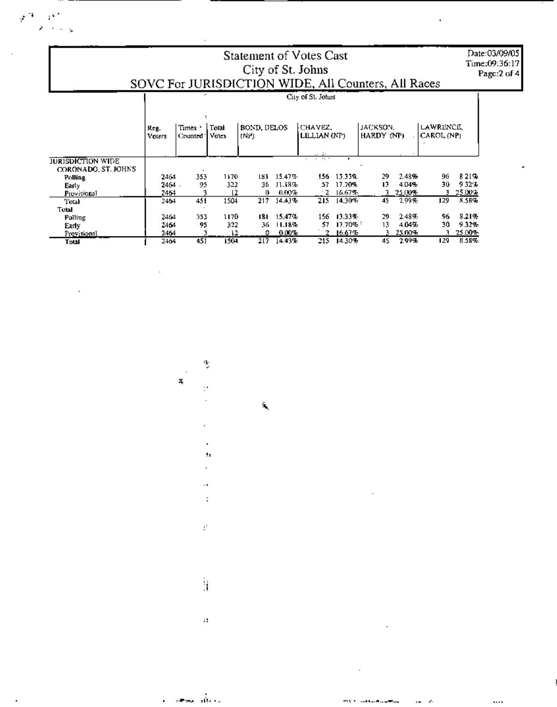|                                                                                                      | Date:03/09/05<br><b>Statement of Votes Cast</b><br>Time:09:36:17<br>City of St. Johns<br>Page: $2 \text{ of } 4$<br>SOVC For JURISDICTION WIDE, All Counters, All Races |                                                                                                                                                                                                  |                           |                        |                                        |                          |                                      |                   |                                   |                  |                                   |  |
|------------------------------------------------------------------------------------------------------|-------------------------------------------------------------------------------------------------------------------------------------------------------------------------|--------------------------------------------------------------------------------------------------------------------------------------------------------------------------------------------------|---------------------------|------------------------|----------------------------------------|--------------------------|--------------------------------------|-------------------|-----------------------------------|------------------|-----------------------------------|--|
|                                                                                                      | Keg.<br>Voters                                                                                                                                                          | City of St. Johns<br>LAWRENCE,<br>JACKSON.<br>BOND, DELOS<br>  CHAVEZ,<br>Times -<br>Total<br>LILLIAN (NP)<br>HARDY (NP)<br>CAROL (NP)<br>(NP)<br><b>Votes</b><br>Counted <sup>1</sup><br>15.124 |                           |                        |                                        |                          |                                      |                   |                                   |                  |                                   |  |
| <b>JURISDICTION WIDE</b><br>CORONADO, ST. JOHNS<br>Polling<br>Early<br>Provisional<br>Total<br>Total | 2464<br>2464<br>2464<br>2464                                                                                                                                            | 353<br>95<br>451                                                                                                                                                                                 | 1170<br>322<br>l2<br>1504 | 18 I<br>36<br>0<br>217 | 15.47%<br>11.18%<br>0.00%<br>14.43%    | 156.<br>57<br>- 2<br>215 | 13.33%<br>17.70%<br>16.67%<br>14,30% | 29.<br>13.<br>45. | 2.48%<br>4.04%<br>25.00%<br>2.99% | 96<br>30.<br>129 | 821%<br>9.32%<br>25.00%<br>8.58%  |  |
| Polling<br>Early<br>Provisional<br>Total                                                             | 2464<br>2464<br>2464<br>2464                                                                                                                                            | 353<br>95<br>451                                                                                                                                                                                 | 1170<br>322<br>42<br>1504 | 181<br>36.<br>o<br>217 | 15.47%<br>11.18%<br>$0.00\%$<br>14.43% | 156.<br>57<br>Σ.<br>215. | 13.33%<br>17.70%<br>16.67%<br>14.30% | 29.<br>13<br>45.  | 2.48%<br>4.04%<br>25.00%<br>2.99% | 96<br>30<br>129  | 8.21%<br>9.32%<br>25.00%<br>8.58% |  |

 $\ddot{\tilde{\mathbf{z}}}$ 

 $\mathbb{P}^{\star}$  $\hat{\boldsymbol{\beta}}$ 

> . ţ,

 $\ddot{\phantom{0}}$  $\ddot{\cdot}$ 

 $\mathcal{C}$ 

 $\frac{1}{3}$ 

 $\mathbf{R}^{\dagger}$ 

×.

 $\cdot$  $\overline{\textbf{a}}$ 

 $\overline{\phantom{a}}$ 

l,

 $\mathcal{F}^{(4)}$  .

 $\sim$ 

 $\alpha$ 

 $\epsilon$ 

Ĭ.

 $\mathbf{s}_\mathrm{c}$ 

l,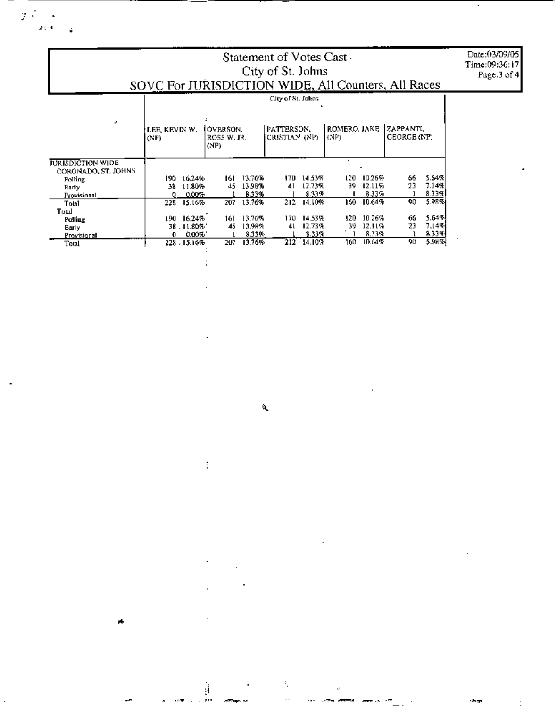|                          | Statement of Votes Cast.<br>City of St. Johns       |              |                          |        |                             |            |                      |        |                          |        |  |  |
|--------------------------|-----------------------------------------------------|--------------|--------------------------|--------|-----------------------------|------------|----------------------|--------|--------------------------|--------|--|--|
|                          | Page:3 of 4                                         |              |                          |        |                             |            |                      |        |                          |        |  |  |
|                          | SOVC For JURISDICTION WIDE, All Counters, All Races |              |                          |        |                             |            |                      |        |                          |        |  |  |
| City of St. Johns        |                                                     |              |                          |        |                             |            |                      |        |                          |        |  |  |
|                          |                                                     |              |                          |        |                             |            |                      |        |                          |        |  |  |
| r.                       |                                                     |              |                          |        |                             |            |                      |        |                          |        |  |  |
|                          | LEE, KEVEN W.<br>(NP)                               |              | LOVERSON.<br>ROSS W. JR. |        | PATTERSON.<br>CRISTIAN (NP) |            | ROMERO, JAKE<br>(NP) |        | ZAPPANTI,<br>GEORGE (NP) |        |  |  |
|                          |                                                     |              | (NP).                    |        |                             |            |                      |        |                          |        |  |  |
|                          |                                                     |              |                          |        |                             |            |                      |        |                          |        |  |  |
| <b>JURISDICTION WIDE</b> |                                                     |              |                          |        |                             |            |                      |        |                          |        |  |  |
| CORONADO, ST. JOHNS      |                                                     |              |                          |        |                             |            |                      |        |                          |        |  |  |
| Polling                  | 190                                                 | 16.24%       | 161.                     | 13.76% | 17D.                        | 14.53%     | 120.                 | 10.26% | 66                       | 5.64%  |  |  |
| Early                    | 38                                                  | 11.80%       | 45                       | 13.98% | 41                          | 12.73%     | 39.                  | 12.11% | 23                       | 7.149. |  |  |
| Provisional              |                                                     | 0.00%        |                          | 8.33%  |                             | 8.33%      |                      | 8.33%  |                          | 8.33%  |  |  |
| Total                    | 228                                                 | 15.16%       | 207.                     | 13.76% | 212                         | 14.10%     | 160.                 | 10.64% | 90                       | 5.98%  |  |  |
| لتنانآ                   |                                                     |              |                          |        |                             |            |                      |        |                          |        |  |  |
| Polling                  |                                                     | 190 16.24%   | 161                      | 13.76% | 170.                        | 14.53%     | 120.                 | 10.26% | -66                      | 5.64%  |  |  |
| Early                    |                                                     | 38.11.80%    | 45.                      | 13.98% | 41.                         | 12.73%     | 39.                  | 12.11% | 23                       | 7.14%  |  |  |
| Provisional              |                                                     | 0.00%"       |                          | 8.33%  |                             | 8.33%      |                      | 8.33%  |                          | 8.33%  |  |  |
| Total                    |                                                     | 228 - 15.16% | 207                      | 13.76% |                             | 212 14.103 | 160                  | 10.64% | 90                       | 5.98%  |  |  |
|                          |                                                     |              |                          |        |                             |            |                      |        |                          |        |  |  |

÷,

 $\ddot{z}$ 

ý

,,,

×,

l,

 $\tilde{\varphi}(\vec{r})$ 

 $\bullet$  $\mathbf{z}_0$  .

 $\ddot{\bullet}$ 

۰

 $\mathbf{\hat{a}}$ 

L.

Ĝ.

 $\ddot{\zeta}$ 

÷.